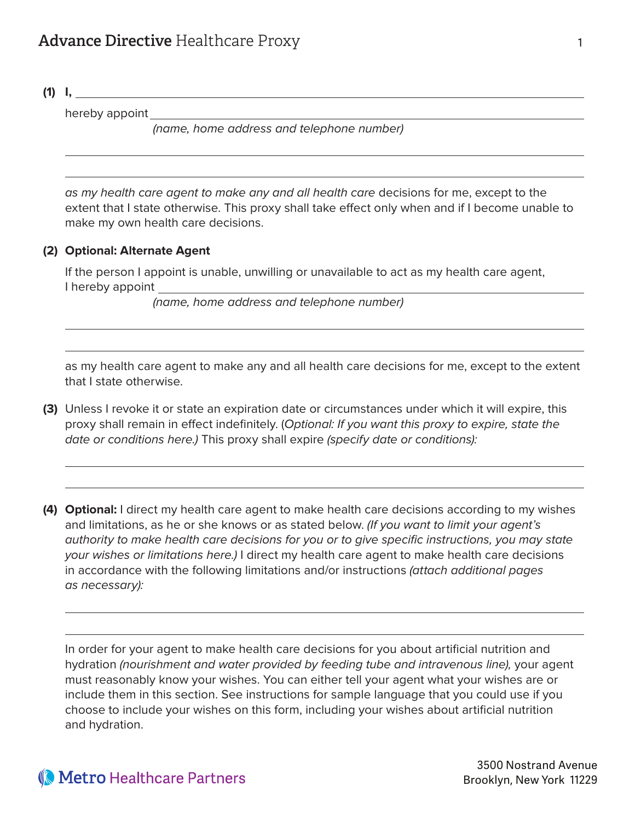**(1) I,** 

hereby appoint

(name, home address and telephone number)

as my health care agent to make any and all health care decisions for me, except to the extent that I state otherwise. This proxy shall take effect only when and if I become unable to make my own health care decisions.

## **(2) Optional: Alternate Agent**

 If the person I appoint is unable, unwilling or unavailable to act as my health care agent, I hereby appoint

(name, home address and telephone number)

 as my health care agent to make any and all health care decisions for me, except to the extent that I state otherwise.

- **(3)** Unless I revoke it or state an expiration date or circumstances under which it will expire, this proxy shall remain in effect indefinitely. (Optional: If you want this proxy to expire, state the date or conditions here.) This proxy shall expire (specify date or conditions):
- **(4) Optional:** I direct my health care agent to make health care decisions according to my wishes and limitations, as he or she knows or as stated below. (If you want to limit your agent's authority to make health care decisions for you or to give specific instructions, you may state your wishes or limitations here.) I direct my health care agent to make health care decisions in accordance with the following limitations and/or instructions (attach additional pages as necessary):

 In order for your agent to make health care decisions for you about artificial nutrition and hydration (nourishment and water provided by feeding tube and intravenous line), your agent must reasonably know your wishes. You can either tell your agent what your wishes are or include them in this section. See instructions for sample language that you could use if you choose to include your wishes on this form, including your wishes about artificial nutrition and hydration.